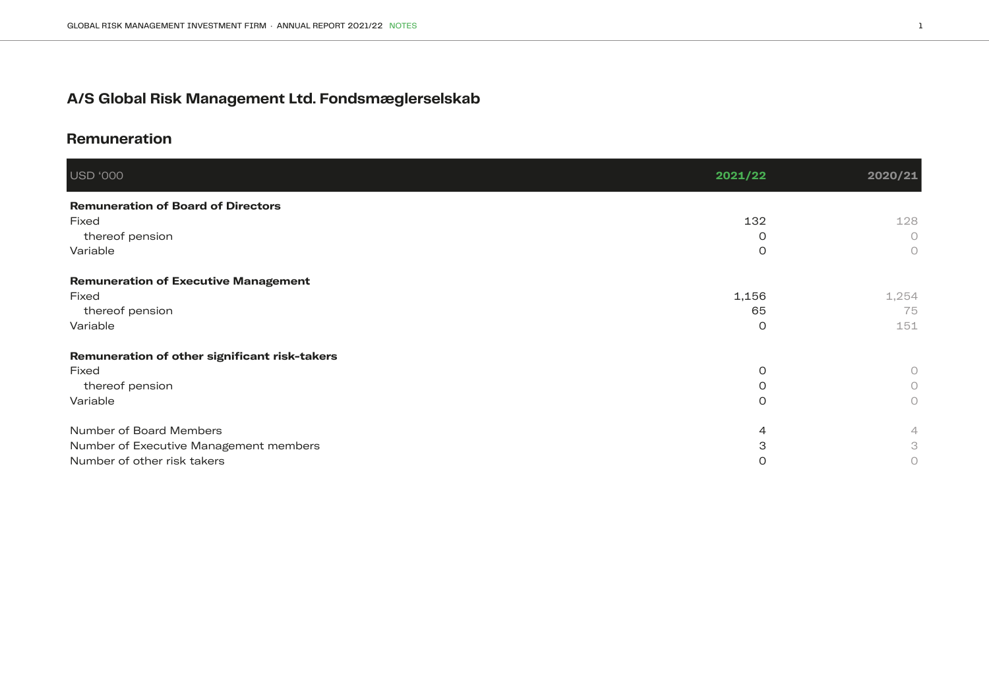# **A/S Global Risk Management Ltd. Fondsmæglerselskab**

# **Remuneration**

| USD '000                                      | 2021/22        | 2020/21 |
|-----------------------------------------------|----------------|---------|
| <b>Remuneration of Board of Directors</b>     |                |         |
| Fixed                                         | 132            | 128     |
| thereof pension                               | O              | $\circ$ |
| Variable                                      | O              | $\circ$ |
| <b>Remuneration of Executive Management</b>   |                |         |
| Fixed                                         | 1,156          | 1,254   |
| thereof pension                               | 65             | 75      |
| Variable                                      | $\circ$        | 151     |
| Remuneration of other significant risk-takers |                |         |
| Fixed                                         | $\circ$        | 0       |
| thereof pension                               | $\Omega$       | 0       |
| Variable                                      | $\Omega$       | $\circ$ |
| Number of Board Members                       | $\overline{4}$ | 4       |
| Number of Executive Management members        | 3              | 3       |
| Number of other risk takers                   | O              | 0       |